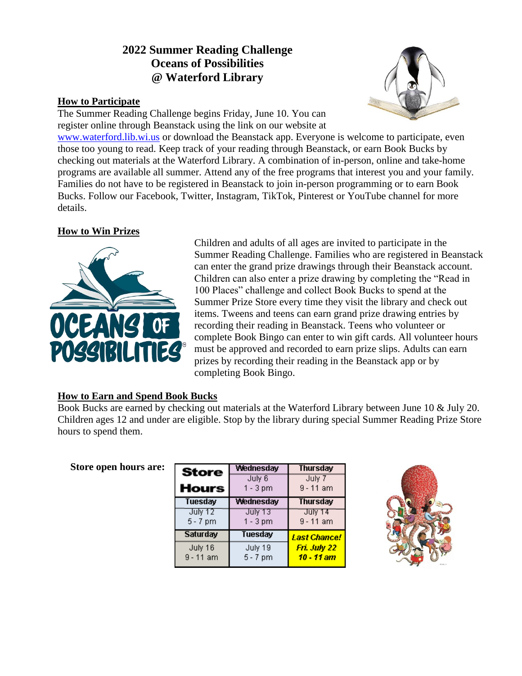# **2022 Summer Reading Challenge Oceans of Possibilities @ Waterford Library**

#### **How to Participate**

The Summer Reading Challenge begins Friday, June 10. You can register online through Beanstack using the link on our website at



[www.waterford.lib.wi.us](http://www.waterford.lib.wi.us/) or download the Beanstack app. Everyone is welcome to participate, even those too young to read. Keep track of your reading through Beanstack, or earn Book Bucks by checking out materials at the Waterford Library. A combination of in-person, online and take-home programs are available all summer. Attend any of the free programs that interest you and your family. Families do not have to be registered in Beanstack to join in-person programming or to earn Book Bucks. Follow our Facebook, Twitter, Instagram, TikTok, Pinterest or YouTube channel for more details.

### **How to Win Prizes**



**Store open hours are:**

Children and adults of all ages are invited to participate in the Summer Reading Challenge. Families who are registered in Beanstack can enter the grand prize drawings through their Beanstack account. Children can also enter a prize drawing by completing the "Read in 100 Places" challenge and collect Book Bucks to spend at the Summer Prize Store every time they visit the library and check out items. Tweens and teens can earn grand prize drawing entries by recording their reading in Beanstack. Teens who volunteer or complete Book Bingo can enter to win gift cards. All volunteer hours must be approved and recorded to earn prize slips. Adults can earn prizes by recording their reading in the Beanstack app or by completing Book Bingo.

#### **How to Earn and Spend Book Bucks**

Book Bucks are earned by checking out materials at the Waterford Library between June 10 & July 20. Children ages 12 and under are eligible. Stop by the library during special Summer Reading Prize Store hours to spend them.

| Store                  | Wednesdav                    | Thursday                     |
|------------------------|------------------------------|------------------------------|
| Hours                  | July 6<br>$1 - 3$ pm         | July 7<br>$9 - 11$ am        |
| <b>Tuesday</b>         | <b>Wednesday</b>             | <b>Thursday</b>              |
| July 12<br>$5 - 7$ pm  | <b>July 13</b><br>$1 - 3$ pm | उपाए १४<br>$9 - 11$ am       |
| <b>Saturday</b>        | Tuesday                      | <b>Last Chance!</b>          |
| July 16<br>$9 - 11$ am | July 19<br>$5 - 7$ pm        | Fri. July 22<br>$10 - 11$ am |